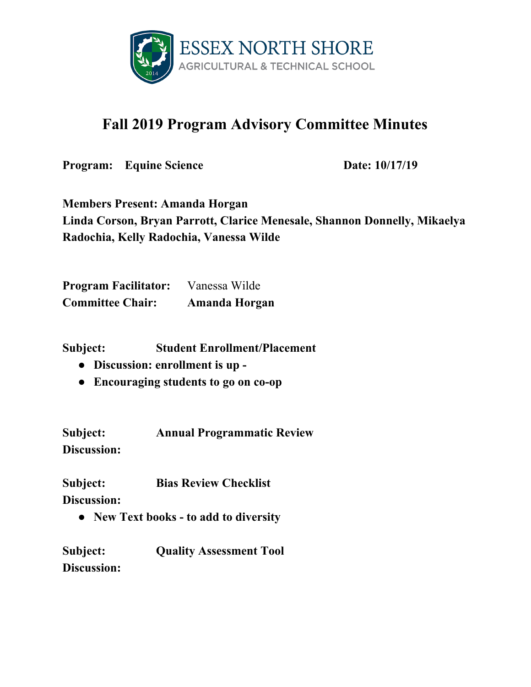

## **Fall 2019 Program Advisory Committee Minutes**

**Program:** Equine Science **Date:** 10/17/19

**Members Present: Amanda Horgan Linda Corson, Bryan Parrott, Clarice Menesale, Shannon Donnelly, Mikaelya Radochia, Kelly Radochia, Vanessa Wilde**

**Program Facilitator:** Vanessa Wilde **Committee Chair: Amanda Horgan**

**Subject: Student Enrollment/Placement**

- **● Discussion: enrollment is up -**
- **● Encouraging students to go on co-op**

**Subject: Annual Programmatic Review Discussion:**

**Subject: Bias Review Checklist**

**Discussion:**

**● New Text books - to add to diversity**

**Subject: Quality Assessment Tool Discussion:**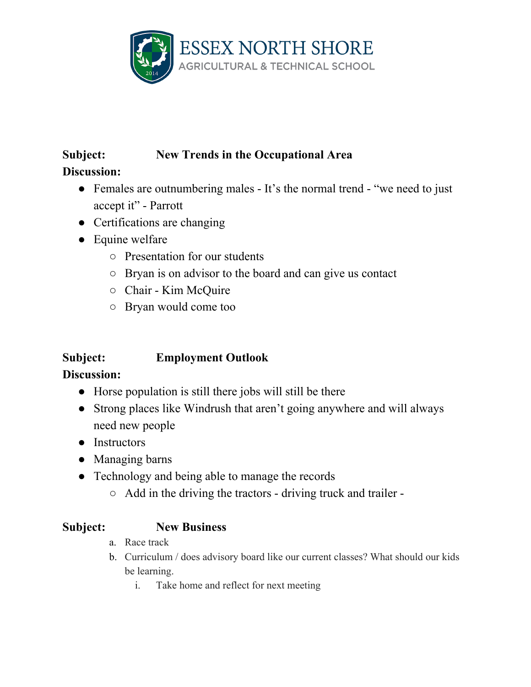

# **Subject: New Trends in the Occupational Area**

**Discussion:**

- Females are outnumbering males It's the normal trend "we need to just accept it" - Parrott
- Certifications are changing
- Equine welfare
	- Presentation for our students
	- Bryan is on advisor to the board and can give us contact
	- Chair Kim McQuire
	- Bryan would come too

### **Subject: Employment Outlook**

#### **Discussion:**

- Horse population is still there jobs will still be there
- Strong places like Windrush that aren't going anywhere and will always need new people
- Instructors
- Managing barns
- Technology and being able to manage the records
	- Add in the driving the tractors driving truck and trailer -

#### **Subject: New Business**

- a. Race track
- b. Curriculum / does advisory board like our current classes? What should our kids be learning.
	- i. Take home and reflect for next meeting